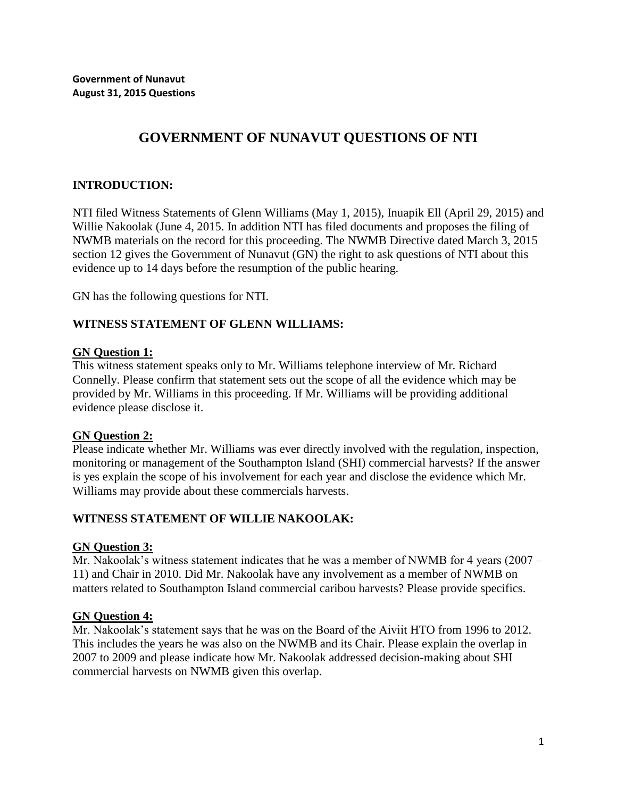# **GOVERNMENT OF NUNAVUT QUESTIONS OF NTI**

# **INTRODUCTION:**

NTI filed Witness Statements of Glenn Williams (May 1, 2015), Inuapik Ell (April 29, 2015) and Willie Nakoolak (June 4, 2015. In addition NTI has filed documents and proposes the filing of NWMB materials on the record for this proceeding. The NWMB Directive dated March 3, 2015 section 12 gives the Government of Nunavut (GN) the right to ask questions of NTI about this evidence up to 14 days before the resumption of the public hearing.

GN has the following questions for NTI.

# **WITNESS STATEMENT OF GLENN WILLIAMS:**

# **GN Question 1:**

This witness statement speaks only to Mr. Williams telephone interview of Mr. Richard Connelly. Please confirm that statement sets out the scope of all the evidence which may be provided by Mr. Williams in this proceeding. If Mr. Williams will be providing additional evidence please disclose it.

# **GN Question 2:**

Please indicate whether Mr. Williams was ever directly involved with the regulation, inspection, monitoring or management of the Southampton Island (SHI) commercial harvests? If the answer is yes explain the scope of his involvement for each year and disclose the evidence which Mr. Williams may provide about these commercials harvests.

# **WITNESS STATEMENT OF WILLIE NAKOOLAK:**

# **GN Question 3:**

Mr. Nakoolak's witness statement indicates that he was a member of NWMB for 4 years (2007 – 11) and Chair in 2010. Did Mr. Nakoolak have any involvement as a member of NWMB on matters related to Southampton Island commercial caribou harvests? Please provide specifics.

# **GN Question 4:**

Mr. Nakoolak's statement says that he was on the Board of the Aiviit HTO from 1996 to 2012. This includes the years he was also on the NWMB and its Chair. Please explain the overlap in 2007 to 2009 and please indicate how Mr. Nakoolak addressed decision-making about SHI commercial harvests on NWMB given this overlap.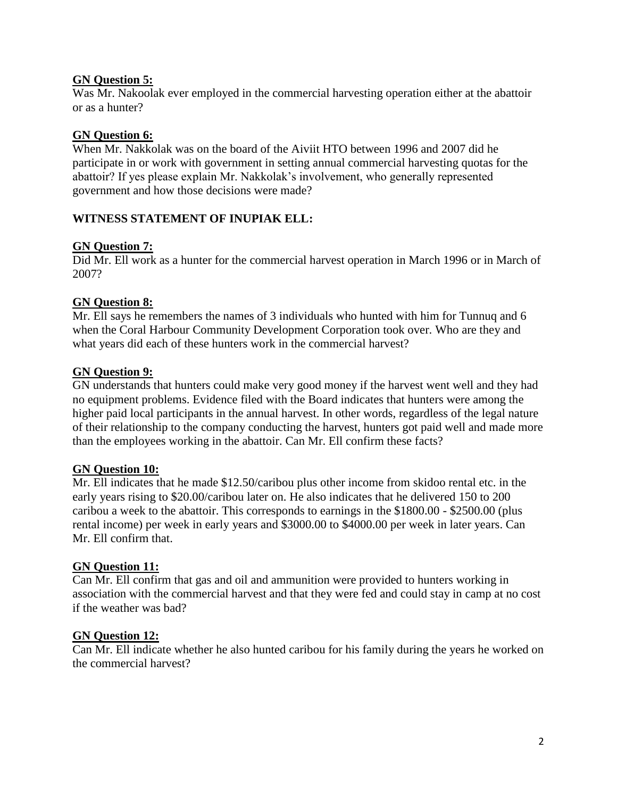# **GN Question 5:**

Was Mr. Nakoolak ever employed in the commercial harvesting operation either at the abattoir or as a hunter?

# **GN Question 6:**

When Mr. Nakkolak was on the board of the Aiviit HTO between 1996 and 2007 did he participate in or work with government in setting annual commercial harvesting quotas for the abattoir? If yes please explain Mr. Nakkolak's involvement, who generally represented government and how those decisions were made?

# **WITNESS STATEMENT OF INUPIAK ELL:**

# **GN Question 7:**

Did Mr. Ell work as a hunter for the commercial harvest operation in March 1996 or in March of 2007?

#### **GN Question 8:**

Mr. Ell says he remembers the names of 3 individuals who hunted with him for Tunnuq and 6 when the Coral Harbour Community Development Corporation took over. Who are they and what years did each of these hunters work in the commercial harvest?

#### **GN Question 9:**

GN understands that hunters could make very good money if the harvest went well and they had no equipment problems. Evidence filed with the Board indicates that hunters were among the higher paid local participants in the annual harvest. In other words, regardless of the legal nature of their relationship to the company conducting the harvest, hunters got paid well and made more than the employees working in the abattoir. Can Mr. Ell confirm these facts?

#### **GN Question 10:**

Mr. Ell indicates that he made \$12.50/caribou plus other income from skidoo rental etc. in the early years rising to \$20.00/caribou later on. He also indicates that he delivered 150 to 200 caribou a week to the abattoir. This corresponds to earnings in the \$1800.00 - \$2500.00 (plus rental income) per week in early years and \$3000.00 to \$4000.00 per week in later years. Can Mr. Ell confirm that.

#### **GN Question 11:**

Can Mr. Ell confirm that gas and oil and ammunition were provided to hunters working in association with the commercial harvest and that they were fed and could stay in camp at no cost if the weather was bad?

#### **GN Question 12:**

Can Mr. Ell indicate whether he also hunted caribou for his family during the years he worked on the commercial harvest?